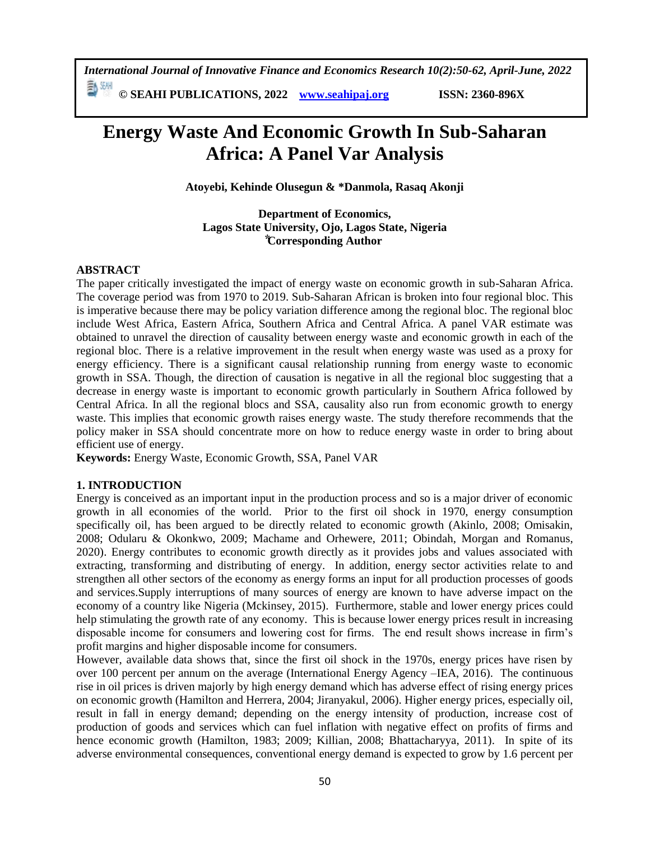*International Journal of Innovative Finance and Economics Research 10(2):50-62, April-June, 2022*

**© SEAHI PUBLICATIONS, 2022 [www.seahipaj.org](http://www.seahipaj.org/) ISSN: 2360-896X**

# **Energy Waste And Economic Growth In Sub-Saharan Africa: A Panel Var Analysis**

**Atoyebi, Kehinde Olusegun & \*Danmola, Rasaq Akonji**

**Department of Economics, Lagos State University, Ojo, Lagos State, Nigeria ⃰Corresponding Author**

# **ABSTRACT**

The paper critically investigated the impact of energy waste on economic growth in sub-Saharan Africa. The coverage period was from 1970 to 2019. Sub-Saharan African is broken into four regional bloc. This is imperative because there may be policy variation difference among the regional bloc. The regional bloc include West Africa, Eastern Africa, Southern Africa and Central Africa. A panel VAR estimate was obtained to unravel the direction of causality between energy waste and economic growth in each of the regional bloc. There is a relative improvement in the result when energy waste was used as a proxy for energy efficiency. There is a significant causal relationship running from energy waste to economic growth in SSA. Though, the direction of causation is negative in all the regional bloc suggesting that a decrease in energy waste is important to economic growth particularly in Southern Africa followed by Central Africa. In all the regional blocs and SSA, causality also run from economic growth to energy waste. This implies that economic growth raises energy waste. The study therefore recommends that the policy maker in SSA should concentrate more on how to reduce energy waste in order to bring about efficient use of energy.

**Keywords:** Energy Waste, Economic Growth, SSA, Panel VAR

#### **1. INTRODUCTION**

Energy is conceived as an important input in the production process and so is a major driver of economic growth in all economies of the world. Prior to the first oil shock in 1970, energy consumption specifically oil, has been argued to be directly related to economic growth (Akinlo, 2008; Omisakin, 2008; Odularu & Okonkwo, 2009; Machame and Orhewere, 2011; Obindah, Morgan and Romanus, 2020). Energy contributes to economic growth directly as it provides jobs and values associated with extracting, transforming and distributing of energy. In addition, energy sector activities relate to and strengthen all other sectors of the economy as energy forms an input for all production processes of goods and services.Supply interruptions of many sources of energy are known to have adverse impact on the economy of a country like Nigeria (Mckinsey, 2015). Furthermore, stable and lower energy prices could help stimulating the growth rate of any economy. This is because lower energy prices result in increasing disposable income for consumers and lowering cost for firms. The end result shows increase in firm's profit margins and higher disposable income for consumers.

However, available data shows that, since the first oil shock in the 1970s, energy prices have risen by over 100 percent per annum on the average (International Energy Agency –IEA, 2016). The continuous rise in oil prices is driven majorly by high energy demand which has adverse effect of rising energy prices on economic growth (Hamilton and Herrera, 2004; Jiranyakul, 2006). Higher energy prices, especially oil, result in fall in energy demand; depending on the energy intensity of production, increase cost of production of goods and services which can fuel inflation with negative effect on profits of firms and hence economic growth (Hamilton, 1983; 2009; Killian, 2008; Bhattacharyya, 2011). In spite of its adverse environmental consequences, conventional energy demand is expected to grow by 1.6 percent per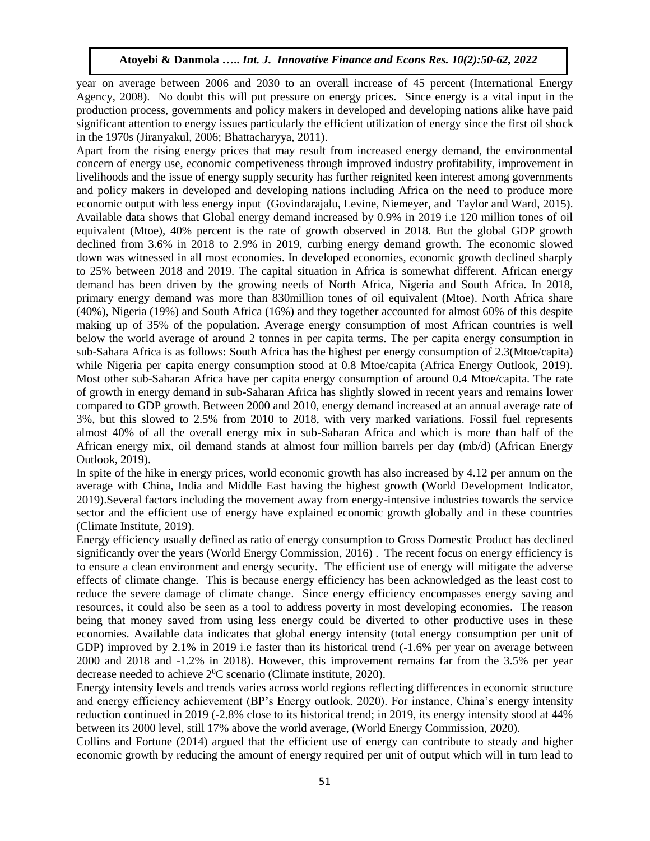year on average between 2006 and 2030 to an overall increase of 45 percent (International Energy Agency, 2008). No doubt this will put pressure on energy prices. Since energy is a vital input in the production process, governments and policy makers in developed and developing nations alike have paid significant attention to energy issues particularly the efficient utilization of energy since the first oil shock in the 1970s (Jiranyakul, 2006; Bhattacharyya, 2011).

Apart from the rising energy prices that may result from increased energy demand, the environmental concern of energy use, economic competiveness through improved industry profitability, improvement in livelihoods and the issue of energy supply security has further reignited keen interest among governments and policy makers in developed and developing nations including Africa on the need to produce more economic output with less energy input (Govindarajalu, Levine, Niemeyer, and Taylor and Ward, 2015). Available data shows that Global energy demand increased by 0.9% in 2019 i.e 120 million tones of oil equivalent (Mtoe), 40% percent is the rate of growth observed in 2018. But the global GDP growth declined from 3.6% in 2018 to 2.9% in 2019, curbing energy demand growth. The economic slowed down was witnessed in all most economies. In developed economies, economic growth declined sharply to 25% between 2018 and 2019. The capital situation in Africa is somewhat different. African energy demand has been driven by the growing needs of North Africa, Nigeria and South Africa. In 2018, primary energy demand was more than 830million tones of oil equivalent (Mtoe). North Africa share (40%), Nigeria (19%) and South Africa (16%) and they together accounted for almost 60% of this despite making up of 35% of the population. Average energy consumption of most African countries is well below the world average of around 2 tonnes in per capita terms. The per capita energy consumption in sub-Sahara Africa is as follows: South Africa has the highest per energy consumption of 2.3(Mtoe/capita) while Nigeria per capita energy consumption stood at 0.8 Mtoe/capita (Africa Energy Outlook, 2019). Most other sub-Saharan Africa have per capita energy consumption of around 0.4 Mtoe/capita. The rate of growth in energy demand in sub-Saharan Africa has slightly slowed in recent years and remains lower compared to GDP growth. Between 2000 and 2010, energy demand increased at an annual average rate of 3%, but this slowed to 2.5% from 2010 to 2018, with very marked variations. Fossil fuel represents almost 40% of all the overall energy mix in sub-Saharan Africa and which is more than half of the African energy mix, oil demand stands at almost four million barrels per day (mb/d) (African Energy Outlook, 2019).

In spite of the hike in energy prices, world economic growth has also increased by 4.12 per annum on the average with China, India and Middle East having the highest growth (World Development Indicator, 2019).Several factors including the movement away from energy-intensive industries towards the service sector and the efficient use of energy have explained economic growth globally and in these countries (Climate Institute, 2019).

Energy efficiency usually defined as ratio of energy consumption to Gross Domestic Product has declined significantly over the years (World Energy Commission, 2016) . The recent focus on energy efficiency is to ensure a clean environment and energy security. The efficient use of energy will mitigate the adverse effects of climate change. This is because energy efficiency has been acknowledged as the least cost to reduce the severe damage of climate change. Since energy efficiency encompasses energy saving and resources, it could also be seen as a tool to address poverty in most developing economies. The reason being that money saved from using less energy could be diverted to other productive uses in these economies. Available data indicates that global energy intensity (total energy consumption per unit of GDP) improved by 2.1% in 2019 i.e faster than its historical trend  $(-1.6%$  per year on average between 2000 and 2018 and -1.2% in 2018). However, this improvement remains far from the 3.5% per year decrease needed to achieve  $2^{0}C$  scenario (Climate institute, 2020).

Energy intensity levels and trends varies across world regions reflecting differences in economic structure and energy efficiency achievement (BP's Energy outlook, 2020). For instance, China's energy intensity reduction continued in 2019 (-2.8% close to its historical trend; in 2019, its energy intensity stood at 44% between its 2000 level, still 17% above the world average, (World Energy Commission, 2020).

Collins and Fortune (2014) argued that the efficient use of energy can contribute to steady and higher economic growth by reducing the amount of energy required per unit of output which will in turn lead to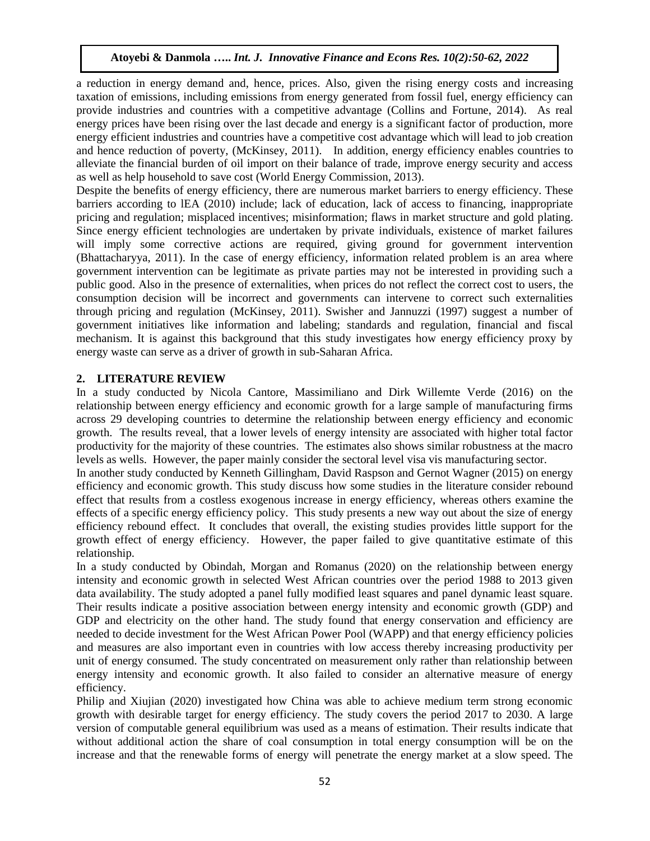a reduction in energy demand and, hence, prices. Also, given the rising energy costs and increasing taxation of emissions, including emissions from energy generated from fossil fuel, energy efficiency can provide industries and countries with a competitive advantage (Collins and Fortune, 2014). As real energy prices have been rising over the last decade and energy is a significant factor of production, more energy efficient industries and countries have a competitive cost advantage which will lead to job creation and hence reduction of poverty, (McKinsey, 2011). In addition, energy efficiency enables countries to alleviate the financial burden of oil import on their balance of trade, improve energy security and access as well as help household to save cost (World Energy Commission, 2013).

Despite the benefits of energy efficiency, there are numerous market barriers to energy efficiency. These barriers according to lEA (2010) include; lack of education, lack of access to financing, inappropriate pricing and regulation; misplaced incentives; misinformation; flaws in market structure and gold plating. Since energy efficient technologies are undertaken by private individuals, existence of market failures will imply some corrective actions are required, giving ground for government intervention (Bhattacharyya, 2011). In the case of energy efficiency, information related problem is an area where government intervention can be legitimate as private parties may not be interested in providing such a public good. Also in the presence of externalities, when prices do not reflect the correct cost to users, the consumption decision will be incorrect and governments can intervene to correct such externalities through pricing and regulation (McKinsey, 2011). Swisher and Jannuzzi (1997) suggest a number of government initiatives like information and labeling; standards and regulation, financial and fiscal mechanism. It is against this background that this study investigates how energy efficiency proxy by energy waste can serve as a driver of growth in sub-Saharan Africa.

# **2. LITERATURE REVIEW**

In a study conducted by Nicola Cantore, Massimiliano and Dirk Willemte Verde (2016) on the relationship between energy efficiency and economic growth for a large sample of manufacturing firms across 29 developing countries to determine the relationship between energy efficiency and economic growth. The results reveal, that a lower levels of energy intensity are associated with higher total factor productivity for the majority of these countries. The estimates also shows similar robustness at the macro levels as wells. However, the paper mainly consider the sectoral level visa vis manufacturing sector.

In another study conducted by Kenneth Gillingham, David Raspson and Gernot Wagner (2015) on energy efficiency and economic growth. This study discuss how some studies in the literature consider rebound effect that results from a costless exogenous increase in energy efficiency, whereas others examine the effects of a specific energy efficiency policy. This study presents a new way out about the size of energy efficiency rebound effect. It concludes that overall, the existing studies provides little support for the growth effect of energy efficiency. However, the paper failed to give quantitative estimate of this relationship.

In a study conducted by Obindah, Morgan and Romanus (2020) on the relationship between energy intensity and economic growth in selected West African countries over the period 1988 to 2013 given data availability. The study adopted a panel fully modified least squares and panel dynamic least square. Their results indicate a positive association between energy intensity and economic growth (GDP) and GDP and electricity on the other hand. The study found that energy conservation and efficiency are needed to decide investment for the West African Power Pool (WAPP) and that energy efficiency policies and measures are also important even in countries with low access thereby increasing productivity per unit of energy consumed. The study concentrated on measurement only rather than relationship between energy intensity and economic growth. It also failed to consider an alternative measure of energy efficiency.

Philip and Xiujian (2020) investigated how China was able to achieve medium term strong economic growth with desirable target for energy efficiency. The study covers the period 2017 to 2030. A large version of computable general equilibrium was used as a means of estimation. Their results indicate that without additional action the share of coal consumption in total energy consumption will be on the increase and that the renewable forms of energy will penetrate the energy market at a slow speed. The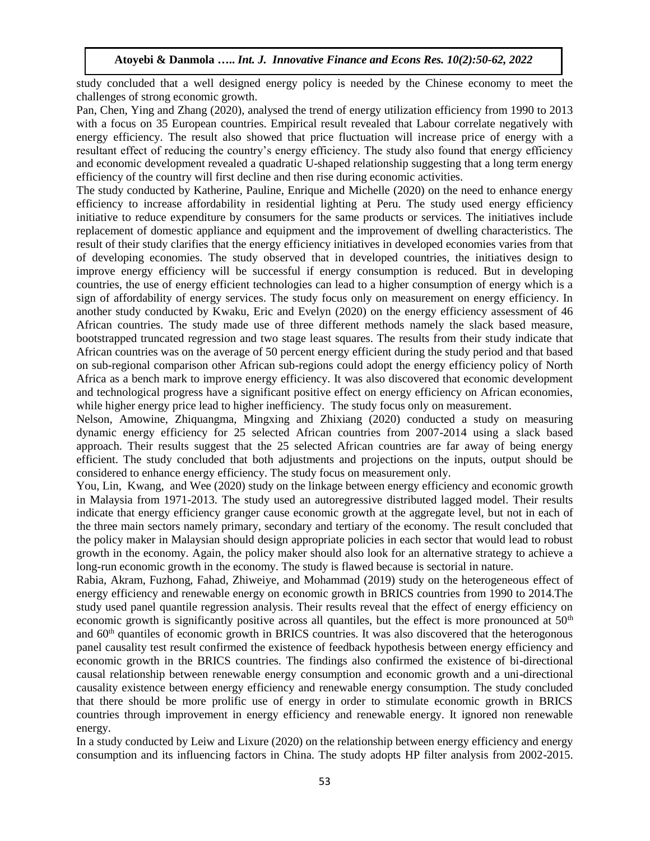study concluded that a well designed energy policy is needed by the Chinese economy to meet the challenges of strong economic growth.

Pan, Chen, Ying and Zhang (2020), analysed the trend of energy utilization efficiency from 1990 to 2013 with a focus on 35 European countries. Empirical result revealed that Labour correlate negatively with energy efficiency. The result also showed that price fluctuation will increase price of energy with a resultant effect of reducing the country's energy efficiency. The study also found that energy efficiency and economic development revealed a quadratic U-shaped relationship suggesting that a long term energy efficiency of the country will first decline and then rise during economic activities.

The study conducted by Katherine, Pauline, Enrique and Michelle (2020) on the need to enhance energy efficiency to increase affordability in residential lighting at Peru. The study used energy efficiency initiative to reduce expenditure by consumers for the same products or services. The initiatives include replacement of domestic appliance and equipment and the improvement of dwelling characteristics. The result of their study clarifies that the energy efficiency initiatives in developed economies varies from that of developing economies. The study observed that in developed countries, the initiatives design to improve energy efficiency will be successful if energy consumption is reduced. But in developing countries, the use of energy efficient technologies can lead to a higher consumption of energy which is a sign of affordability of energy services. The study focus only on measurement on energy efficiency. In another study conducted by Kwaku, Eric and Evelyn (2020) on the energy efficiency assessment of 46 African countries. The study made use of three different methods namely the slack based measure, bootstrapped truncated regression and two stage least squares. The results from their study indicate that African countries was on the average of 50 percent energy efficient during the study period and that based on sub-regional comparison other African sub-regions could adopt the energy efficiency policy of North Africa as a bench mark to improve energy efficiency. It was also discovered that economic development and technological progress have a significant positive effect on energy efficiency on African economies, while higher energy price lead to higher inefficiency. The study focus only on measurement.

Nelson, Amowine, Zhiquangma, Mingxing and Zhixiang (2020) conducted a study on measuring dynamic energy efficiency for 25 selected African countries from 2007-2014 using a slack based approach. Their results suggest that the 25 selected African countries are far away of being energy efficient. The study concluded that both adjustments and projections on the inputs, output should be considered to enhance energy efficiency. The study focus on measurement only.

You, Lin, Kwang, and Wee (2020) study on the linkage between energy efficiency and economic growth in Malaysia from 1971-2013. The study used an autoregressive distributed lagged model. Their results indicate that energy efficiency granger cause economic growth at the aggregate level, but not in each of the three main sectors namely primary, secondary and tertiary of the economy. The result concluded that the policy maker in Malaysian should design appropriate policies in each sector that would lead to robust growth in the economy. Again, the policy maker should also look for an alternative strategy to achieve a long-run economic growth in the economy. The study is flawed because is sectorial in nature.

Rabia, Akram, Fuzhong, Fahad, Zhiweiye, and Mohammad (2019) study on the heterogeneous effect of energy efficiency and renewable energy on economic growth in BRICS countries from 1990 to 2014.The study used panel quantile regression analysis. Their results reveal that the effect of energy efficiency on economic growth is significantly positive across all quantiles, but the effect is more pronounced at  $50<sup>th</sup>$ and 60<sup>th</sup> quantiles of economic growth in BRICS countries. It was also discovered that the heterogonous panel causality test result confirmed the existence of feedback hypothesis between energy efficiency and economic growth in the BRICS countries. The findings also confirmed the existence of bi-directional causal relationship between renewable energy consumption and economic growth and a uni-directional causality existence between energy efficiency and renewable energy consumption. The study concluded that there should be more prolific use of energy in order to stimulate economic growth in BRICS countries through improvement in energy efficiency and renewable energy. It ignored non renewable energy.

In a study conducted by Leiw and Lixure (2020) on the relationship between energy efficiency and energy consumption and its influencing factors in China. The study adopts HP filter analysis from 2002-2015.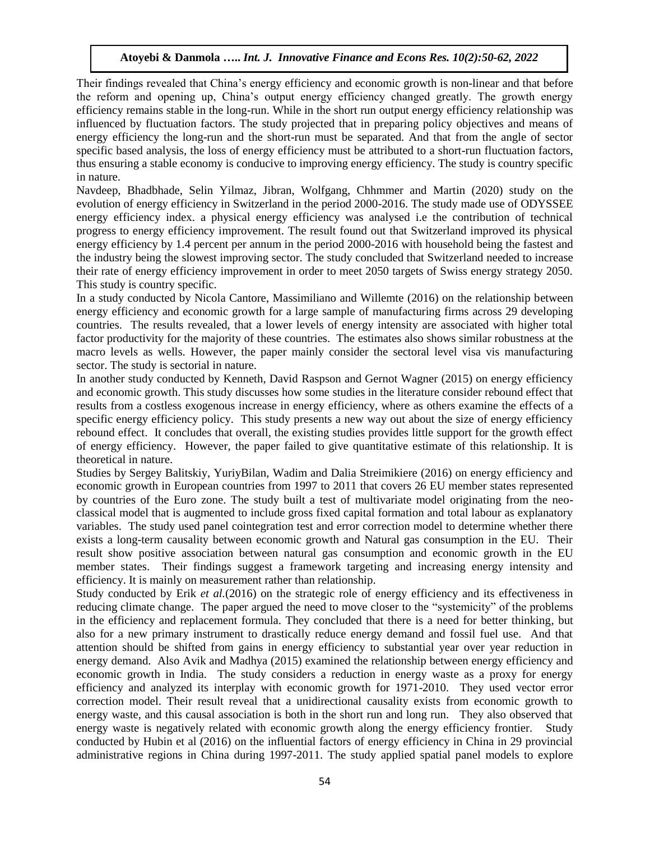Their findings revealed that China's energy efficiency and economic growth is non-linear and that before the reform and opening up, China's output energy efficiency changed greatly. The growth energy efficiency remains stable in the long-run. While in the short run output energy efficiency relationship was influenced by fluctuation factors. The study projected that in preparing policy objectives and means of energy efficiency the long-run and the short-run must be separated. And that from the angle of sector specific based analysis, the loss of energy efficiency must be attributed to a short-run fluctuation factors, thus ensuring a stable economy is conducive to improving energy efficiency. The study is country specific in nature.

Navdeep, Bhadbhade, Selin Yilmaz, Jibran, Wolfgang, Chhmmer and Martin (2020) study on the evolution of energy efficiency in Switzerland in the period 2000-2016. The study made use of ODYSSEE energy efficiency index. a physical energy efficiency was analysed i.e the contribution of technical progress to energy efficiency improvement. The result found out that Switzerland improved its physical energy efficiency by 1.4 percent per annum in the period 2000-2016 with household being the fastest and the industry being the slowest improving sector. The study concluded that Switzerland needed to increase their rate of energy efficiency improvement in order to meet 2050 targets of Swiss energy strategy 2050. This study is country specific.

In a study conducted by Nicola Cantore, Massimiliano and Willemte (2016) on the relationship between energy efficiency and economic growth for a large sample of manufacturing firms across 29 developing countries. The results revealed, that a lower levels of energy intensity are associated with higher total factor productivity for the majority of these countries. The estimates also shows similar robustness at the macro levels as wells. However, the paper mainly consider the sectoral level visa vis manufacturing sector. The study is sectorial in nature.

In another study conducted by Kenneth, David Raspson and Gernot Wagner (2015) on energy efficiency and economic growth. This study discusses how some studies in the literature consider rebound effect that results from a costless exogenous increase in energy efficiency, where as others examine the effects of a specific energy efficiency policy. This study presents a new way out about the size of energy efficiency rebound effect. It concludes that overall, the existing studies provides little support for the growth effect of energy efficiency. However, the paper failed to give quantitative estimate of this relationship. It is theoretical in nature.

Studies by Sergey Balitskiy, YuriyBilan, Wadim and Dalia Streimikiere (2016) on energy efficiency and economic growth in European countries from 1997 to 2011 that covers 26 EU member states represented by countries of the Euro zone. The study built a test of multivariate model originating from the neoclassical model that is augmented to include gross fixed capital formation and total labour as explanatory variables. The study used panel cointegration test and error correction model to determine whether there exists a long-term causality between economic growth and Natural gas consumption in the EU. Their result show positive association between natural gas consumption and economic growth in the EU member states. Their findings suggest a framework targeting and increasing energy intensity and efficiency. It is mainly on measurement rather than relationship.

Study conducted by Erik *et al.*(2016) on the strategic role of energy efficiency and its effectiveness in reducing climate change. The paper argued the need to move closer to the "systemicity" of the problems in the efficiency and replacement formula. They concluded that there is a need for better thinking, but also for a new primary instrument to drastically reduce energy demand and fossil fuel use. And that attention should be shifted from gains in energy efficiency to substantial year over year reduction in energy demand. Also Avik and Madhya (2015) examined the relationship between energy efficiency and economic growth in India. The study considers a reduction in energy waste as a proxy for energy efficiency and analyzed its interplay with economic growth for 1971-2010. They used vector error correction model. Their result reveal that a unidirectional causality exists from economic growth to energy waste, and this causal association is both in the short run and long run. They also observed that energy waste is negatively related with economic growth along the energy efficiency frontier. Study conducted by Hubin et al (2016) on the influential factors of energy efficiency in China in 29 provincial administrative regions in China during 1997-2011. The study applied spatial panel models to explore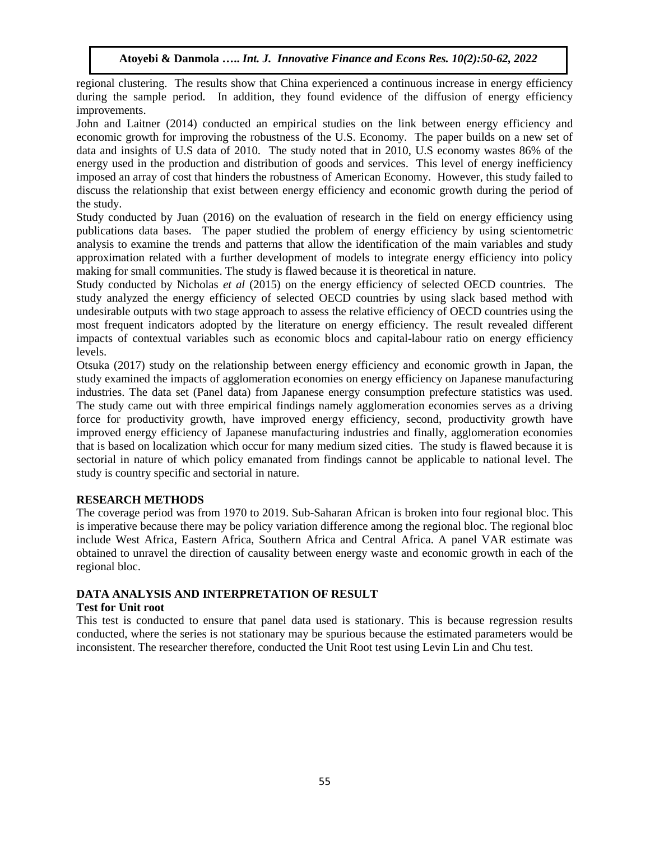regional clustering. The results show that China experienced a continuous increase in energy efficiency during the sample period. In addition, they found evidence of the diffusion of energy efficiency improvements.

John and Laitner (2014) conducted an empirical studies on the link between energy efficiency and economic growth for improving the robustness of the U.S. Economy. The paper builds on a new set of data and insights of U.S data of 2010. The study noted that in 2010, U.S economy wastes 86% of the energy used in the production and distribution of goods and services. This level of energy inefficiency imposed an array of cost that hinders the robustness of American Economy. However, this study failed to discuss the relationship that exist between energy efficiency and economic growth during the period of the study.

Study conducted by Juan (2016) on the evaluation of research in the field on energy efficiency using publications data bases. The paper studied the problem of energy efficiency by using scientometric analysis to examine the trends and patterns that allow the identification of the main variables and study approximation related with a further development of models to integrate energy efficiency into policy making for small communities. The study is flawed because it is theoretical in nature.

Study conducted by Nicholas *et al* (2015) on the energy efficiency of selected OECD countries. The study analyzed the energy efficiency of selected OECD countries by using slack based method with undesirable outputs with two stage approach to assess the relative efficiency of OECD countries using the most frequent indicators adopted by the literature on energy efficiency. The result revealed different impacts of contextual variables such as economic blocs and capital-labour ratio on energy efficiency levels.

Otsuka (2017) study on the relationship between energy efficiency and economic growth in Japan, the study examined the impacts of agglomeration economies on energy efficiency on Japanese manufacturing industries. The data set (Panel data) from Japanese energy consumption prefecture statistics was used. The study came out with three empirical findings namely agglomeration economies serves as a driving force for productivity growth, have improved energy efficiency, second, productivity growth have improved energy efficiency of Japanese manufacturing industries and finally, agglomeration economies that is based on localization which occur for many medium sized cities. The study is flawed because it is sectorial in nature of which policy emanated from findings cannot be applicable to national level. The study is country specific and sectorial in nature.

# **RESEARCH METHODS**

The coverage period was from 1970 to 2019. Sub-Saharan African is broken into four regional bloc. This is imperative because there may be policy variation difference among the regional bloc. The regional bloc include West Africa, Eastern Africa, Southern Africa and Central Africa. A panel VAR estimate was obtained to unravel the direction of causality between energy waste and economic growth in each of the regional bloc.

#### **DATA ANALYSIS AND INTERPRETATION OF RESULT Test for Unit root**

This test is conducted to ensure that panel data used is stationary. This is because regression results conducted, where the series is not stationary may be spurious because the estimated parameters would be inconsistent. The researcher therefore, conducted the Unit Root test using Levin Lin and Chu test.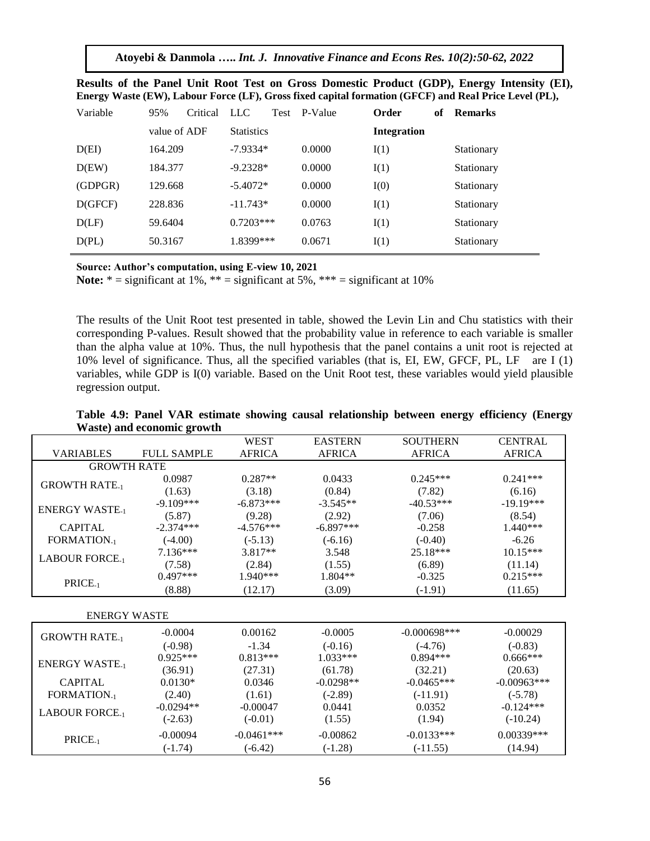**Atoyebi & Danmola …..** *Int. J. Innovative Finance and Econs Res. 10(2):50-62, 2022*

| Variable | 95%          | Critical | LLC.              | Test | P-Value | Order              | of | <b>Remarks</b> |
|----------|--------------|----------|-------------------|------|---------|--------------------|----|----------------|
|          | value of ADF |          | <b>Statistics</b> |      |         | <b>Integration</b> |    |                |
| D(EI)    | 164.209      |          | $-7.9334*$        |      | 0.0000  | I(1)               |    | Stationary     |
| D(EW)    | 184.377      |          | $-9.2328*$        |      | 0.0000  | I(1)               |    | Stationary     |
| (GDPGR)  | 129.668      |          | $-5.4072*$        |      | 0.0000  | I(0)               |    | Stationary     |
| D(GFCF)  | 228.836      |          | $-11.743*$        |      | 0.0000  | I(1)               |    | Stationary     |
| D(LF)    | 59.6404      |          | $0.7203***$       |      | 0.0763  | I(1)               |    | Stationary     |
| D(PL)    | 50.3167      |          | 1.8399***         |      | 0.0671  | I(1)               |    | Stationary     |

| Results of the Panel Unit Root Test on Gross Domestic Product (GDP), Energy Intensity (EI),           |  |  |  |
|-------------------------------------------------------------------------------------------------------|--|--|--|
| Energy Waste (EW), Labour Force (LF), Gross fixed capital formation (GFCF) and Real Price Level (PL), |  |  |  |

**Source: Author's computation, using E-view 10, 2021**

**Note:**  $* =$  significant at 1%,  $* =$  significant at 5%,  $* * =$  significant at 10%

The results of the Unit Root test presented in table, showed the Levin Lin and Chu statistics with their corresponding P-values. Result showed that the probability value in reference to each variable is smaller than the alpha value at 10%. Thus, the null hypothesis that the panel contains a unit root is rejected at 10% level of significance. Thus, all the specified variables (that is, EI, EW, GFCF, PL, LF are I (1) variables, while GDP is I(0) variable. Based on the Unit Root test, these variables would yield plausible regression output.

|                        |                    | <b>WEST</b>   | <b>EASTERN</b> | <b>SOUTHERN</b> | <b>CENTRAL</b> |  |  |  |  |
|------------------------|--------------------|---------------|----------------|-----------------|----------------|--|--|--|--|
| <b>VARIABLES</b>       | <b>FULL SAMPLE</b> | <b>AFRICA</b> | <b>AFRICA</b>  | <b>AFRICA</b>   | <b>AFRICA</b>  |  |  |  |  |
| <b>GROWTH RATE</b>     |                    |               |                |                 |                |  |  |  |  |
| <b>GROWTH RATE.</b>    | 0.0987             | $0.287**$     | 0.0433         | $0.245***$      | $0.241***$     |  |  |  |  |
|                        | (1.63)             | (3.18)        | (0.84)         | (7.82)          | (6.16)         |  |  |  |  |
| <b>ENERGY WASTE.</b>   | $-9.109***$        | $-6.873***$   | $-3.545**$     | $-40.53***$     | $-19.19***$    |  |  |  |  |
|                        | (5.87)             | (9.28)        | (2.92)         | (7.06)          | (8.54)         |  |  |  |  |
| <b>CAPITAL</b>         | $-2.374***$        | $-4.576***$   | $-6.897***$    | $-0.258$        | $1.440***$     |  |  |  |  |
| <b>FORMATION.</b>      | $(-4.00)$          | $(-5.13)$     | $(-6.16)$      | $(-0.40)$       | $-6.26$        |  |  |  |  |
| <b>LABOUR FORCE.</b>   | $7.136***$         | $3.817**$     | 3.548          | 25.18***        | $10.15***$     |  |  |  |  |
|                        | (7.58)             | (2.84)        | (1.55)         | (6.89)          | (11.14)        |  |  |  |  |
| PRICE <sub>-1</sub>    | $0.497***$         | $1.940***$    | $1.804**$      | $-0.325$        | $0.215***$     |  |  |  |  |
|                        | (8.88)             | (12.17)       | (3.09)         | $(-1.91)$       | (11.65)        |  |  |  |  |
|                        |                    |               |                |                 |                |  |  |  |  |
| <b>ENERGY WASTE</b>    |                    |               |                |                 |                |  |  |  |  |
| <b>GROWTH RATE.</b>    | $-0.0004$          | 0.00162       | $-0.0005$      | $-0.000698***$  | $-0.00029$     |  |  |  |  |
|                        | $(-0.98)$          | $-1.34$       | $(-0.16)$      | $(-4.76)$       | $(-0.83)$      |  |  |  |  |
| <b>ENERGY WASTE.</b>   | $0.925***$         | $0.813***$    | $1.033***$     | $0.894***$      | $0.666***$     |  |  |  |  |
|                        | (36.91)            | (27.31)       | (61.78)        | (32.21)         | (20.63)        |  |  |  |  |
| <b>CAPITAL</b>         | $0.0130*$          | 0.0346        | $-0.0298**$    | $-0.0465***$    | $-0.00963***$  |  |  |  |  |
| <b>FORMATION.</b> 1    | (2.40)             | (1.61)        | $(-2.89)$      | $(-11.91)$      | $(-5.78)$      |  |  |  |  |
| <b>LABOUR FORCE.</b> 1 | $-0.0294**$        | $-0.00047$    | 0.0441         | 0.0352          | $-0.124***$    |  |  |  |  |
|                        | $(-2.63)$          | $(-0.01)$     | (1.55)         | (1.94)          | $(-10.24)$     |  |  |  |  |
| PRICE <sub>-1</sub>    | $-0.00094$         | $-0.0461***$  | $-0.00862$     | $-0.0133***$    | 0.00339***     |  |  |  |  |
|                        | $(-1.74)$          | $(-6.42)$     | $(-1.28)$      | $(-11.55)$      | (14.94)        |  |  |  |  |

**Table 4.9: Panel VAR estimate showing causal relationship between energy efficiency (Energy Waste) and economic growth**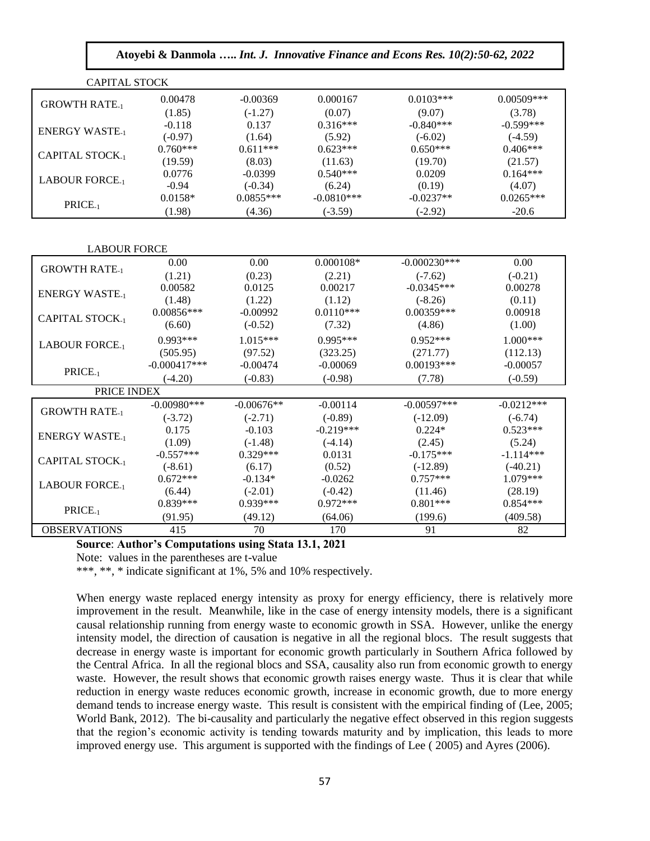| Atoyebi & Danmola  Int. J. Innovative Finance and Econs Res. 10(2):50-62, 2022 |                |              |              |                |                         |  |  |
|--------------------------------------------------------------------------------|----------------|--------------|--------------|----------------|-------------------------|--|--|
| <b>CAPITAL STOCK</b>                                                           |                |              |              |                |                         |  |  |
| <b>GROWTH RATE-1</b>                                                           | 0.00478        | $-0.00369$   | 0.000167     | $0.0103***$    | $0.00509***$            |  |  |
|                                                                                | (1.85)         | $(-1.27)$    | (0.07)       | (9.07)         | (3.78)                  |  |  |
| <b>ENERGY WASTE.</b>                                                           | $-0.118$       | 0.137        | $0.316***$   | $-0.840***$    | $-0.599***$             |  |  |
|                                                                                | $(-0.97)$      | (1.64)       | (5.92)       | $(-6.02)$      | $(-4.59)$               |  |  |
| <b>CAPITAL STOCK.</b>                                                          | $0.760***$     | $0.611***$   | $0.623***$   | $0.650***$     | $0.406***$              |  |  |
|                                                                                | (19.59)        | (8.03)       | (11.63)      | (19.70)        | (21.57)                 |  |  |
| <b>LABOUR FORCE-1</b>                                                          | 0.0776         | $-0.0399$    | $0.540***$   | 0.0209         | $0.164***$              |  |  |
|                                                                                | $-0.94$        | $(-0.34)$    | (6.24)       | (0.19)         | (4.07)                  |  |  |
| PRICE <sub>-1</sub>                                                            | $0.0158*$      | $0.0855***$  | $-0.0810***$ | $-0.0237**$    | $0.0265***$             |  |  |
|                                                                                | (1.98)         | (4.36)       | $(-3.59)$    | $(-2.92)$      | $-20.6$                 |  |  |
| <b>LABOUR FORCE</b>                                                            |                |              |              |                |                         |  |  |
| <b>GROWTH RATE-1</b>                                                           | 0.00           | 0.00         | $0.000108*$  | $-0.000230***$ | 0.00                    |  |  |
|                                                                                | (1.21)         | (0.23)       | (2.21)       | $(-7.62)$      | $(-0.21)$               |  |  |
| <b>ENERGY WASTE.</b> 1                                                         | 0.00582        | 0.0125       | 0.00217      | $-0.0345***$   | 0.00278                 |  |  |
|                                                                                | (1.48)         | (1.22)       | (1.12)       | $(-8.26)$      | (0.11)                  |  |  |
| <b>CAPITAL STOCK-1</b>                                                         | $0.00856***$   | $-0.00992$   | $0.0110***$  | $0.00359***$   | 0.00918                 |  |  |
|                                                                                | (6.60)         | $(-0.52)$    | (7.32)       | (4.86)         | (1.00)                  |  |  |
| <b>LABOUR FORCE-1</b>                                                          | $0.993***$     | $1.015***$   | 0.995***     | $0.952***$     | $1.000***$              |  |  |
|                                                                                | (505.95)       | (97.52)      | (323.25)     | (271.77)       | (112.13)                |  |  |
| PRICE <sub>-1</sub>                                                            | $-0.000417***$ | $-0.00474$   | $-0.00069$   | $0.00193***$   | $-0.00057$              |  |  |
|                                                                                | $(-4.20)$      | $(-0.83)$    | $(-0.98)$    | (7.78)         | $(-0.59)$               |  |  |
| PRICE INDEX                                                                    |                |              |              |                |                         |  |  |
| <b>GROWTH RATE.</b>                                                            | $-0.00980***$  | $-0.00676**$ | $-0.00114$   | $-0.00597***$  | $-0.02\overline{12***}$ |  |  |
|                                                                                | $(-3.72)$      | $(-2.71)$    | $(-0.89)$    | $(-12.09)$     | $(-6.74)$               |  |  |
| <b>ENERGY WASTE-1</b>                                                          | 0.175          | $-0.103$     | $-0.219***$  | $0.224*$       | $0.523***$              |  |  |
|                                                                                | (1.09)         | $(-1.48)$    | $(-4.14)$    | (2.45)         | (5.24)                  |  |  |
| <b>CAPITAL STOCK.</b>                                                          | $-0.557***$    | $0.329***$   | 0.0131       | $-0.175***$    | $-1.114***$             |  |  |
|                                                                                | $(-8.61)$      | (6.17)       | (0.52)       | $(-12.89)$     | $(-40.21)$              |  |  |
| <b>LABOUR FORCE.</b> 1                                                         | $0.672***$     | $-0.134*$    | $-0.0262$    | $0.757***$     | $1.079***$              |  |  |
|                                                                                | (6.44)         | $(-2.01)$    | $(-0.42)$    | (11.46)        | (28.19)                 |  |  |
| PRICE <sub>-1</sub>                                                            | $0.839***$     | $0.939***$   | $0.972***$   | $0.801***$     | $0.854***$              |  |  |
|                                                                                | (91.95)        | (49.12)      | (64.06)      | (199.6)        | (409.58)                |  |  |
| <b>OBSERVATIONS</b>                                                            | 415            | 70           | 170          | 91             | 82                      |  |  |

#### **Source**: **Author's Computations using Stata 13.1, 2021**

Note: values in the parentheses are t-value

\*\*\*, \*\*, \* indicate significant at 1%, 5% and 10% respectively.

When energy waste replaced energy intensity as proxy for energy efficiency, there is relatively more improvement in the result. Meanwhile, like in the case of energy intensity models, there is a significant causal relationship running from energy waste to economic growth in SSA. However, unlike the energy intensity model, the direction of causation is negative in all the regional blocs. The result suggests that decrease in energy waste is important for economic growth particularly in Southern Africa followed by the Central Africa. In all the regional blocs and SSA, causality also run from economic growth to energy waste. However, the result shows that economic growth raises energy waste. Thus it is clear that while reduction in energy waste reduces economic growth, increase in economic growth, due to more energy demand tends to increase energy waste. This result is consistent with the empirical finding of (Lee, 2005; World Bank, 2012). The bi-causality and particularly the negative effect observed in this region suggests that the region's economic activity is tending towards maturity and by implication, this leads to more improved energy use. This argument is supported with the findings of Lee ( 2005) and Ayres (2006).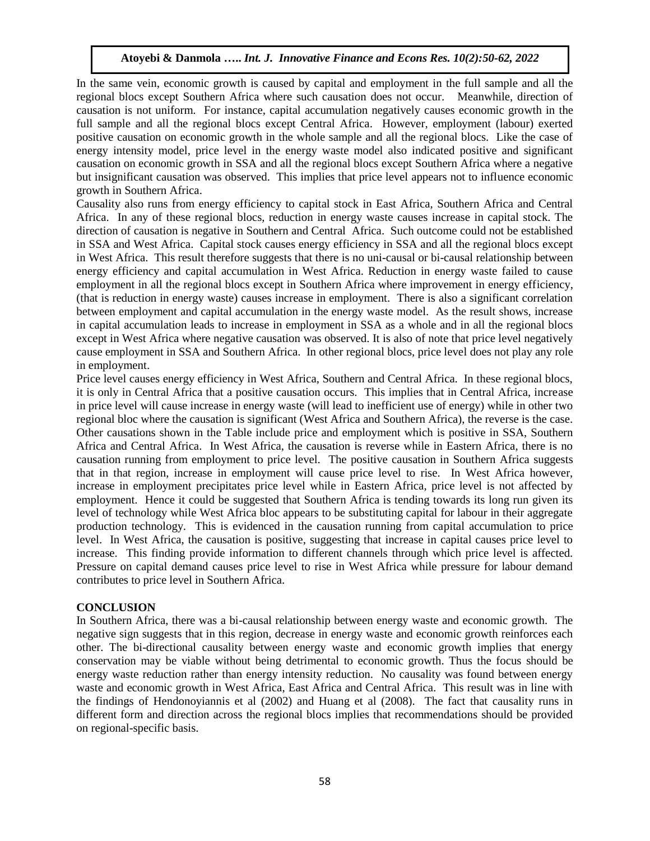In the same vein, economic growth is caused by capital and employment in the full sample and all the regional blocs except Southern Africa where such causation does not occur. Meanwhile, direction of causation is not uniform. For instance, capital accumulation negatively causes economic growth in the full sample and all the regional blocs except Central Africa. However, employment (labour) exerted positive causation on economic growth in the whole sample and all the regional blocs. Like the case of energy intensity model, price level in the energy waste model also indicated positive and significant causation on economic growth in SSA and all the regional blocs except Southern Africa where a negative but insignificant causation was observed. This implies that price level appears not to influence economic growth in Southern Africa.

Causality also runs from energy efficiency to capital stock in East Africa, Southern Africa and Central Africa. In any of these regional blocs, reduction in energy waste causes increase in capital stock. The direction of causation is negative in Southern and Central Africa. Such outcome could not be established in SSA and West Africa. Capital stock causes energy efficiency in SSA and all the regional blocs except in West Africa. This result therefore suggests that there is no uni-causal or bi-causal relationship between energy efficiency and capital accumulation in West Africa. Reduction in energy waste failed to cause employment in all the regional blocs except in Southern Africa where improvement in energy efficiency, (that is reduction in energy waste) causes increase in employment. There is also a significant correlation between employment and capital accumulation in the energy waste model. As the result shows, increase in capital accumulation leads to increase in employment in SSA as a whole and in all the regional blocs except in West Africa where negative causation was observed. It is also of note that price level negatively cause employment in SSA and Southern Africa. In other regional blocs, price level does not play any role in employment.

Price level causes energy efficiency in West Africa, Southern and Central Africa. In these regional blocs, it is only in Central Africa that a positive causation occurs. This implies that in Central Africa, increase in price level will cause increase in energy waste (will lead to inefficient use of energy) while in other two regional bloc where the causation is significant (West Africa and Southern Africa), the reverse is the case. Other causations shown in the Table include price and employment which is positive in SSA, Southern Africa and Central Africa. In West Africa, the causation is reverse while in Eastern Africa, there is no causation running from employment to price level. The positive causation in Southern Africa suggests that in that region, increase in employment will cause price level to rise. In West Africa however, increase in employment precipitates price level while in Eastern Africa, price level is not affected by employment. Hence it could be suggested that Southern Africa is tending towards its long run given its level of technology while West Africa bloc appears to be substituting capital for labour in their aggregate production technology. This is evidenced in the causation running from capital accumulation to price level. In West Africa, the causation is positive, suggesting that increase in capital causes price level to increase. This finding provide information to different channels through which price level is affected. Pressure on capital demand causes price level to rise in West Africa while pressure for labour demand contributes to price level in Southern Africa.

# **CONCLUSION**

In Southern Africa, there was a bi-causal relationship between energy waste and economic growth. The negative sign suggests that in this region, decrease in energy waste and economic growth reinforces each other. The bi-directional causality between energy waste and economic growth implies that energy conservation may be viable without being detrimental to economic growth. Thus the focus should be energy waste reduction rather than energy intensity reduction. No causality was found between energy waste and economic growth in West Africa, East Africa and Central Africa. This result was in line with the findings of Hendonoyiannis et al (2002) and Huang et al (2008). The fact that causality runs in different form and direction across the regional blocs implies that recommendations should be provided on regional-specific basis.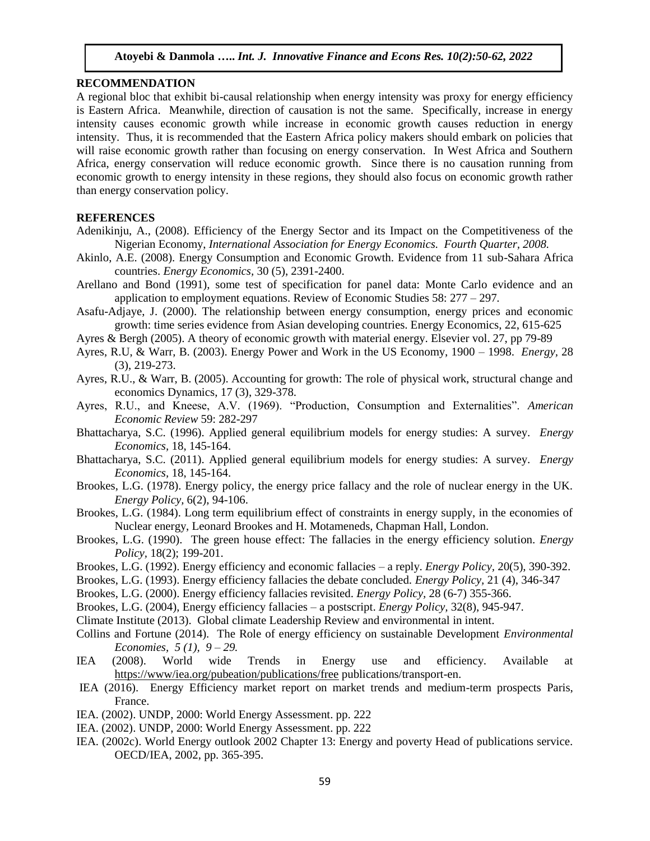#### **RECOMMENDATION**

A regional bloc that exhibit bi-causal relationship when energy intensity was proxy for energy efficiency is Eastern Africa. Meanwhile, direction of causation is not the same. Specifically, increase in energy intensity causes economic growth while increase in economic growth causes reduction in energy intensity. Thus, it is recommended that the Eastern Africa policy makers should embark on policies that will raise economic growth rather than focusing on energy conservation. In West Africa and Southern Africa, energy conservation will reduce economic growth. Since there is no causation running from economic growth to energy intensity in these regions, they should also focus on economic growth rather than energy conservation policy.

#### **REFERENCES**

- Adenikinju, A., (2008). Efficiency of the Energy Sector and its Impact on the Competitiveness of the Nigerian Economy, *International Association for Energy Economics. Fourth Quarter, 2008.*
- Akinlo, A.E. (2008). Energy Consumption and Economic Growth. Evidence from 11 sub-Sahara Africa countries. *Energy Economics,* 30 (5), 2391-2400.
- Arellano and Bond (1991), some test of specification for panel data: Monte Carlo evidence and an application to employment equations. Review of Economic Studies 58: 277 – 297.
- Asafu-Adjaye, J. (2000). The relationship between energy consumption, energy prices and economic growth: time series evidence from Asian developing countries. Energy Economics, 22, 615-625
- Ayres & Bergh (2005). A theory of economic growth with material energy. Elsevier vol. 27, pp 79-89
- Ayres, R.U, & Warr, B. (2003). Energy Power and Work in the US Economy, 1900 1998. *Energy,* 28 (3), 219-273.
- Ayres, R.U., & Warr, B. (2005). Accounting for growth: The role of physical work, structural change and economics Dynamics, 17 (3), 329-378.
- Ayres, R.U., and Kneese, A.V. (1969). "Production, Consumption and Externalities". *American Economic Review* 59: 282-297
- Bhattacharya, S.C. (1996). Applied general equilibrium models for energy studies: A survey. *Energy Economics,* 18, 145-164.
- Bhattacharya, S.C. (2011). Applied general equilibrium models for energy studies: A survey. *Energy Economics,* 18, 145-164.
- Brookes, L.G. (1978). Energy policy, the energy price fallacy and the role of nuclear energy in the UK. *Energy Policy,* 6(2), 94-106.
- Brookes, L.G. (1984). Long term equilibrium effect of constraints in energy supply, in the economies of Nuclear energy, Leonard Brookes and H. Motameneds, Chapman Hall, London.
- Brookes, L.G. (1990). The green house effect: The fallacies in the energy efficiency solution. *Energy Policy,* 18(2); 199-201.
- Brookes, L.G. (1992). Energy efficiency and economic fallacies a reply. *Energy Policy,* 20(5), 390-392.
- Brookes, L.G. (1993). Energy efficiency fallacies the debate concluded. *Energy Policy,* 21 (4), 346-347
- Brookes, L.G. (2000). Energy efficiency fallacies revisited. *Energy Policy,* 28 (6-7) 355-366.
- Brookes, L.G. (2004), Energy efficiency fallacies a postscript. *Energy Policy,* 32(8), 945-947.
- Climate Institute (2013). Global climate Leadership Review and environmental in intent.
- Collins and Fortune (2014). The Role of energy efficiency on sustainable Development *Environmental Economies, 5 (1), 9 – 29.*
- IEA (2008). World wide Trends in Energy use and efficiency. Available at <https://www/iea.org/pubeation/publications/free> publications/transport-en.
- IEA (2016). Energy Efficiency market report on market trends and medium-term prospects Paris, France.
- IEA. (2002). UNDP, 2000: World Energy Assessment. pp. 222
- IEA. (2002). UNDP, 2000: World Energy Assessment. pp. 222
- IEA. (2002c). World Energy outlook 2002 Chapter 13: Energy and poverty Head of publications service. OECD/IEA, 2002, pp. 365-395.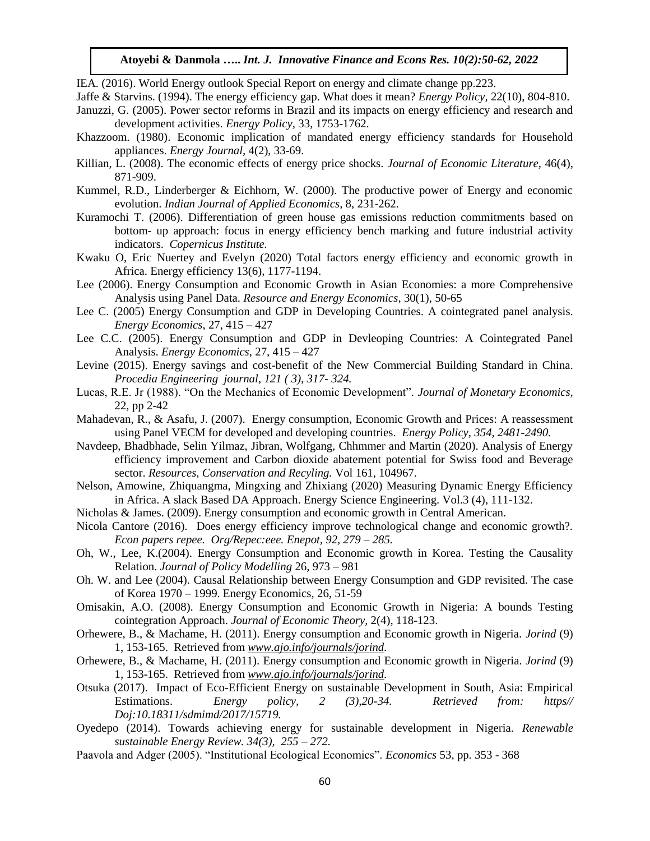IEA. (2016). World Energy outlook Special Report on energy and climate change pp.223.

- Jaffe & Starvins. (1994). The energy efficiency gap. What does it mean? *Energy Policy,* 22(10), 804-810.
- Januzzi, G. (2005). Power sector reforms in Brazil and its impacts on energy efficiency and research and development activities. *Energy Policy,* 33, 1753-1762.
- Khazzoom. (1980). Economic implication of mandated energy efficiency standards for Household appliances. *Energy Journal,* 4(2), 33-69.
- Killian, L. (2008). The economic effects of energy price shocks. *Journal of Economic Literature,* 46(4), 871-909.
- Kummel, R.D., Linderberger & Eichhorn, W. (2000). The productive power of Energy and economic evolution. *Indian Journal of Applied Economics,* 8, 231-262.
- Kuramochi T. (2006). Differentiation of green house gas emissions reduction commitments based on bottom- up approach: focus in energy efficiency bench marking and future industrial activity indicators. *Copernicus Institute.*
- Kwaku O, Eric Nuertey and Evelyn (2020) Total factors energy efficiency and economic growth in Africa. Energy efficiency 13(6), 1177-1194.
- Lee (2006). Energy Consumption and Economic Growth in Asian Economies: a more Comprehensive Analysis using Panel Data. *Resource and Energy Economics*, 30(1), 50-65
- Lee C. (2005) Energy Consumption and GDP in Developing Countries. A cointegrated panel analysis. *Energy Economics*, 27, 415 – 427
- Lee C.C. (2005). Energy Consumption and GDP in Devleoping Countries: A Cointegrated Panel Analysis. *Energy Economics*, 27, 415 – 427
- Levine (2015). Energy savings and cost-benefit of the New Commercial Building Standard in China. *Procedia Engineering journal, 121 ( 3), 317- 324.*
- Lucas, R.E. Jr (1988). "On the Mechanics of Economic Development". *Journal of Monetary Economics,*  22, pp 2-42
- Mahadevan, R., & Asafu, J. (2007). Energy consumption, Economic Growth and Prices: A reassessment using Panel VECM for developed and developing countries. *Energy Policy, 354, 2481-2490.*
- Navdeep, Bhadbhade, Selin Yilmaz, Jibran, Wolfgang, Chhmmer and Martin (2020). Analysis of Energy efficiency improvement and Carbon dioxide abatement potential for Swiss food and Beverage sector. *Resources, Conservation and Recyling.* Vol 161, 104967.
- Nelson, Amowine, Zhiquangma, Mingxing and Zhixiang (2020) Measuring Dynamic Energy Efficiency in Africa. A slack Based DA Approach. Energy Science Engineering. Vol.3 (4), 111-132.
- Nicholas & James. (2009). Energy consumption and economic growth in Central American.
- Nicola Cantore (2016). Does energy efficiency improve technological change and economic growth?. *Econ papers repee. Org/Repec:eee. Enepot, 92, 279 – 285.*
- Oh, W., Lee, K.(2004). Energy Consumption and Economic growth in Korea. Testing the Causality Relation. *Journal of Policy Modelling* 26, 973 – 981
- Oh. W. and Lee (2004). Causal Relationship between Energy Consumption and GDP revisited. The case of Korea 1970 – 1999. Energy Economics, 26, 51-59
- Omisakin, A.O. (2008). Energy Consumption and Economic Growth in Nigeria: A bounds Testing cointegration Approach. *Journal of Economic Theory,* 2(4), 118-123.
- Orhewere, B., & Machame, H. (2011). Energy consumption and Economic growth in Nigeria. *Jorind* (9) 1, 153-165. Retrieved from *[www.ajo.info/journals/jorind.](http://www.ajo.info/journals/jorind)*
- Orhewere, B., & Machame, H. (2011). Energy consumption and Economic growth in Nigeria. *Jorind* (9) 1, 153-165. Retrieved from *[www.ajo.info/journals/jorind.](http://www.ajo.info/journals/jorind)*
- Otsuka (2017). Impact of Eco-Efficient Energy on sustainable Development in South, Asia: Empirical Estimations. *Energy policy, 2 (3),20-34. Retrieved from: https// Doj:10.18311/sdmimd/2017/15719.*
- Oyedepo (2014). Towards achieving energy for sustainable development in Nigeria. *Renewable sustainable Energy Review. 34(3), 255 – 272.*
- Paavola and Adger (2005). "Institutional Ecological Economics". *Economics* 53, pp. 353 368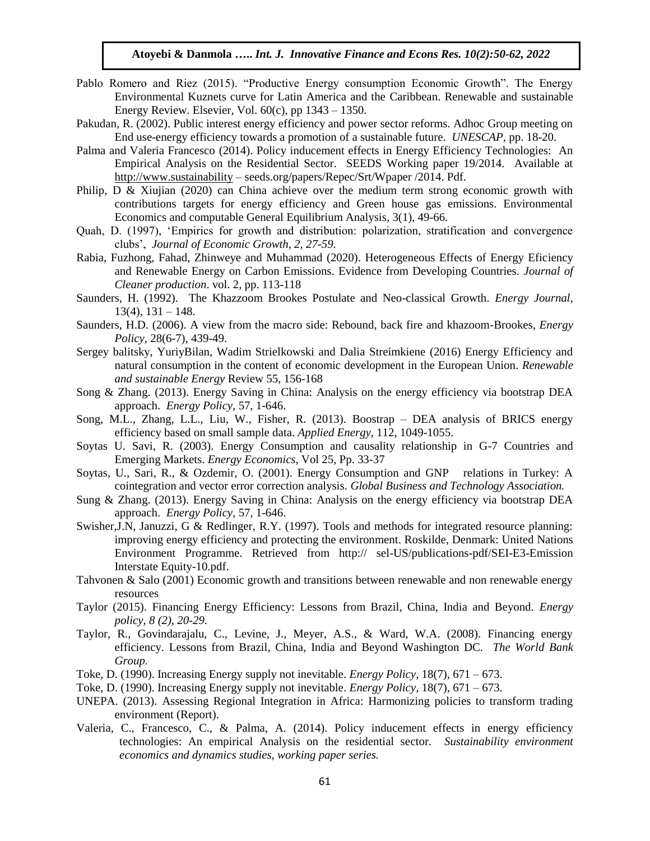- Pablo Romero and Riez (2015). "Productive Energy consumption Economic Growth". The Energy Environmental Kuznets curve for Latin America and the Caribbean. Renewable and sustainable Energy Review. Elsevier, Vol.  $60(c)$ , pp  $1343 - 1350$ .
- Pakudan, R. (2002). Public interest energy efficiency and power sector reforms. Adhoc Group meeting on End use-energy efficiency towards a promotion of a sustainable future. *UNESCAP,* pp. 18-20.
- Palma and Valeria Francesco (2014). Policy inducement effects in Energy Efficiency Technologies: An Empirical Analysis on the Residential Sector. SEEDS Working paper 19/2014. Available at [http://www.sustainability](http://www.sustainability/) – seeds.org/papers/Repec/Srt/Wpaper /2014. Pdf.
- Philip, D & Xiujian (2020) can China achieve over the medium term strong economic growth with contributions targets for energy efficiency and Green house gas emissions. Environmental Economics and computable General Equilibrium Analysis, 3(1), 49-66.
- Quah, D. (1997), 'Empirics for growth and distribution: polarization, stratification and convergence clubs', *Journal of Economic Growth, 2, 27-59.*
- Rabia, Fuzhong, Fahad, Zhinweye and Muhammad (2020). Heterogeneous Effects of Energy Eficiency and Renewable Energy on Carbon Emissions. Evidence from Developing Countries. *Journal of Cleaner production*. vol. 2, pp. 113-118
- Saunders, H. (1992). The Khazzoom Brookes Postulate and Neo-classical Growth. *Energy Journal,*  $13(4)$ ,  $131 - 148$ .
- Saunders, H.D. (2006). A view from the macro side: Rebound, back fire and khazoom-Brookes, *Energy Policy*, 28(6-7), 439-49.
- Sergey balitsky, YuriyBilan, Wadim Strielkowski and Dalia Streimkiene (2016) Energy Efficiency and natural consumption in the content of economic development in the European Union. *Renewable and sustainable Energy* Review 55, 156-168
- Song & Zhang. (2013). Energy Saving in China: Analysis on the energy efficiency via bootstrap DEA approach. *Energy Policy,* 57, 1-646.
- Song, M.L., Zhang, L.L., Liu, W., Fisher, R. (2013). Boostrap DEA analysis of BRICS energy efficiency based on small sample data. *Applied Energy,* 112, 1049-1055.
- Soytas U. Savi, R. (2003). Energy Consumption and causality relationship in G-7 Countries and Emerging Markets. *Energy Economics,* Vol 25, Pp. 33-37
- Soytas, U., Sari, R., & Ozdemir, O. (2001). Energy Consumption and GNP relations in Turkey: A cointegration and vector error correction analysis. *Global Business and Technology Association.*
- Sung & Zhang. (2013). Energy Saving in China: Analysis on the energy efficiency via bootstrap DEA approach. *Energy Policy,* 57, 1-646.
- Swisher,J.N, Januzzi, G & Redlinger, R.Y. (1997). Tools and methods for integrated resource planning: improving energy efficiency and protecting the environment. Roskilde, Denmark: United Nations Environment Programme. Retrieved from http:// sel-US/publications-pdf/SEI-E3-Emission Interstate Equity-10.pdf.
- Tahvonen & Salo (2001) Economic growth and transitions between renewable and non renewable energy resources
- Taylor (2015). Financing Energy Efficiency: Lessons from Brazil, China, India and Beyond. *Energy policy, 8 (2), 20-29.*
- Taylor, R., Govindarajalu, C., Levine, J., Meyer, A.S., & Ward, W.A. (2008). Financing energy efficiency. Lessons from Brazil, China, India and Beyond Washington DC. *The World Bank Group.*
- Toke, D. (1990). Increasing Energy supply not inevitable. *Energy Policy,* 18(7), 671 673.
- Toke, D. (1990). Increasing Energy supply not inevitable. *Energy Policy,* 18(7), 671 673.
- UNEPA. (2013). Assessing Regional Integration in Africa: Harmonizing policies to transform trading environment (Report).
- Valeria, C., Francesco, C., & Palma, A. (2014). Policy inducement effects in energy efficiency technologies: An empirical Analysis on the residential sector. *Sustainability environment economics and dynamics studies, working paper series.*